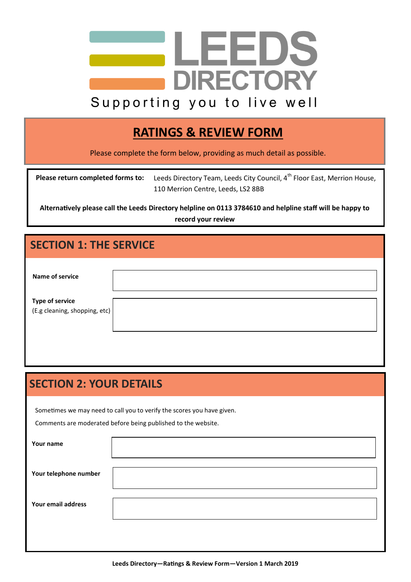

## **RATINGS & REVIEW FORM**

Please complete the form below, providing as much detail as possible.

| Please return completed forms to: | Leeds Directory Team, Leeds City Council, 4 <sup>th</sup> Floor East, Merrion House, |
|-----------------------------------|--------------------------------------------------------------------------------------|
|                                   | 110 Merrion Centre, Leeds, LS2 8BB                                                   |

**Alternatively please call the Leeds Directory helpline on 0113 3784610 and helpline staff will be happy to record your review**

## **SECTION 1: THE SERVICE**

| Name of service                                         |  |
|---------------------------------------------------------|--|
| <b>Type of service</b><br>(E.g cleaning, shopping, etc) |  |

## **SECTION 2: YOUR DETAILS**

Sometimes we may need to call you to verify the scores you have given.

Comments are moderated before being published to the website.

| Your name             |  |
|-----------------------|--|
| Your telephone number |  |
| Your email address    |  |
|                       |  |